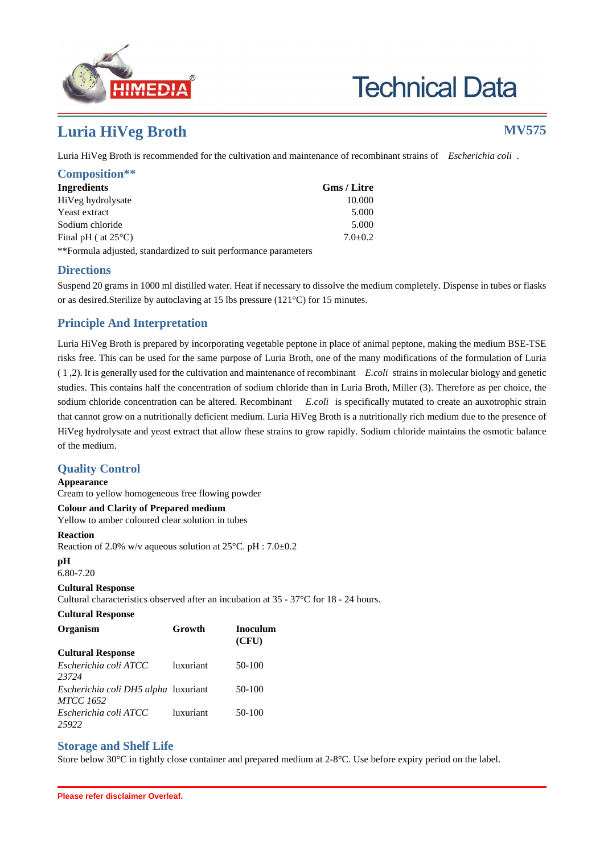

# **Technical Data**

## **Luria HiVeg Broth MV575**

Luria HiVeg Broth is recommended for the cultivation and maintenance of recombinant strains of *Escherichia coli* .

| Composition**                 |             |
|-------------------------------|-------------|
| <b>Ingredients</b>            | Gms / Litre |
| HiVeg hydrolysate             | 10.000      |
| Yeast extract                 | 5.000       |
| Sodium chloride               | 5.000       |
| Final pH ( at $25^{\circ}$ C) | $7.0+0.2$   |
|                               |             |

\*\*Formula adjusted, standardized to suit performance parameters

#### **Directions**

Suspend 20 grams in 1000 ml distilled water. Heat if necessary to dissolve the medium completely. Dispense in tubes or flasks or as desired.Sterilize by autoclaving at 15 lbs pressure (121°C) for 15 minutes.

#### **Principle And Interpretation**

Luria HiVeg Broth is prepared by incorporating vegetable peptone in place of animal peptone, making the medium BSE-TSE risks free. This can be used for the same purpose of Luria Broth, one of the many modifications of the formulation of Luria ( 1 ,2). It is generally used for the cultivation and maintenance of recombinant *E.coli* strains in molecular biology and genetic studies. This contains half the concentration of sodium chloride than in Luria Broth, Miller (3). Therefore as per choice, the sodium chloride concentration can be altered. Recombinant *E.coli* is specifically mutated to create an auxotrophic strain that cannot grow on a nutritionally deficient medium. Luria HiVeg Broth is a nutritionally rich medium due to the presence of HiVeg hydrolysate and yeast extract that allow these strains to grow rapidly. Sodium chloride maintains the osmotic balance of the medium.

### **Quality Control**

#### **Appearance**

Cream to yellow homogeneous free flowing powder

#### **Colour and Clarity of Prepared medium**

Yellow to amber coloured clear solution in tubes

#### **Reaction**

Reaction of 2.0% w/v aqueous solution at 25°C. pH : 7.0±0.2

#### **pH**

6.80-7.20

#### **Cultural Response**

Cultural characteristics observed after an incubation at 35 - 37°C for 18 - 24 hours.

#### **Cultural Response**

| Organism                                                 | Growth    | <b>Inoculum</b><br>(CFU) |
|----------------------------------------------------------|-----------|--------------------------|
| <b>Cultural Response</b>                                 |           |                          |
| Escherichia coli ATCC<br>23724                           | luxuriant | $50-100$                 |
| Escherichia coli DH5 alpha luxuriant<br><b>MTCC 1652</b> |           | 50-100                   |
| Escherichia coli ATCC<br>25922                           | luxuriant | 50-100                   |

#### **Storage and Shelf Life**

Store below 30°C in tightly close container and prepared medium at 2-8°C. Use before expiry period on the label.